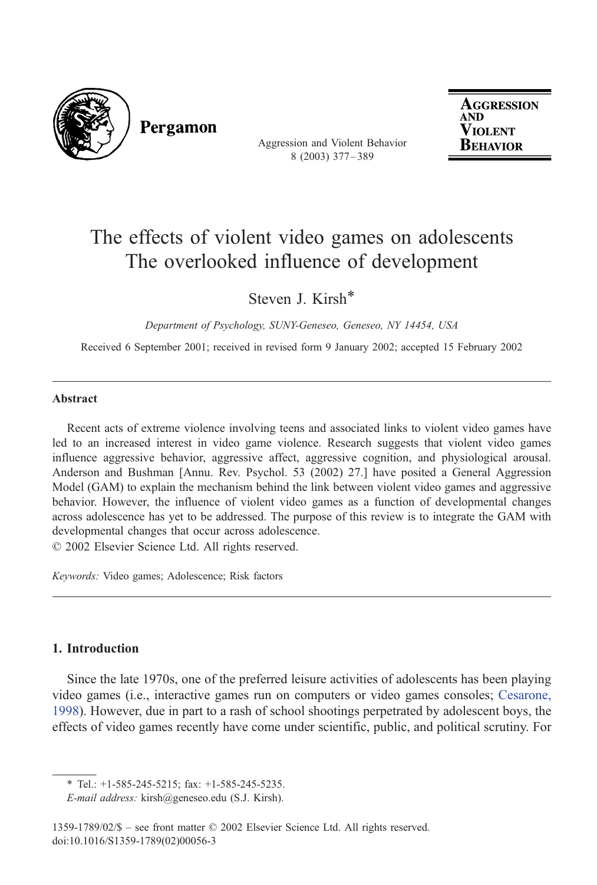

Pergamon

Aggression and Violent Behavior 8 (2003) 377 – 389

Aggression **AND VIOLENT** Behavior

# The effects of violent video games on adolescents The overlooked influence of development

Steven J. Kirsh\*

Department of Psychology, SUNY-Geneseo, Geneseo, NY 14454, USA

Received 6 September 2001; received in revised form 9 January 2002; accepted 15 February 2002

### Abstract

Recent acts of extreme violence involving teens and associated links to violent video games have led to an increased interest in video game violence. Research suggests that violent video games influence aggressive behavior, aggressive affect, aggressive cognition, and physiological arousal. Anderson and Bushman [Annu. Rev. Psychol. 53 (2002) 27.] have posited a General Aggression Model (GAM) to explain the mechanism behind the link between violent video games and aggressive behavior. However, the influence of violent video games as a function of developmental changes across adolescence has yet to be addressed. The purpose of this review is to integrate the GAM with developmental changes that occur across adolescence.

 $© 2002 Elsevier Science Ltd. All rights reserved.$ 

Keywords: Video games; Adolescence; Risk factors

# 1. Introduction

Since the late 1970s, one of the preferred leisure activities of adolescents has been playing video games (i.e., interactive games run on computers or video games consoles; [Cesarone,](#page-11-0) 1998). However, due in part to a rash of school shootings perpetrated by adolescent boys, the effects of video games recently have come under scientific, public, and political scrutiny. For

<sup>\*</sup> Tel.: +1-585-245-5215; fax: +1-585-245-5235.

E-mail address: kirsh@geneseo.edu (S.J. Kirsh).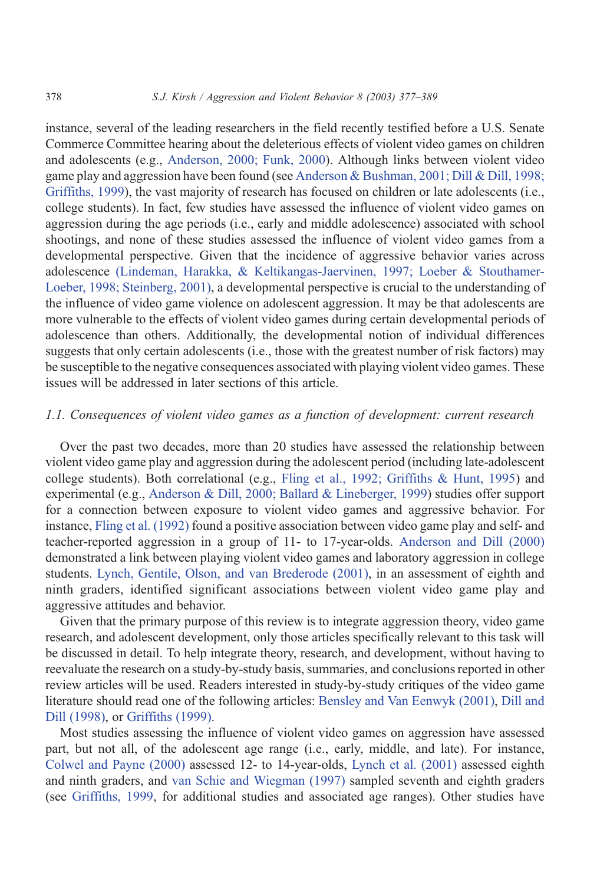instance, several of the leading researchers in the field recently testified before a U.S. Senate Commerce Committee hearing about the deleterious effects of violent video games on children and adolescents (e.g., [Anderson, 2000; Funk, 2000\)](#page-10-0). Although links between violent video game play and aggression have been found (see [Anderson & Bushman, 2001; Dill & Dill, 1998;](#page-10-0) Griffiths, 1999), the vast majority of research has focused on children or late adolescents (i.e., college students). In fact, few studies have assessed the influence of violent video games on aggression during the age periods (i.e., early and middle adolescence) associated with school shootings, and none of these studies assessed the influence of violent video games from a developmental perspective. Given that the incidence of aggressive behavior varies across adolescence [\(Lindeman, Harakka, & Keltikangas-Jaervinen, 1997; Loeber & Stouthamer-](#page-12-0)Loeber, 1998; Steinberg, 2001), a developmental perspective is crucial to the understanding of the influence of video game violence on adolescent aggression. It may be that adolescents are more vulnerable to the effects of violent video games during certain developmental periods of adolescence than others. Additionally, the developmental notion of individual differences suggests that only certain adolescents (i.e., those with the greatest number of risk factors) may be susceptible to the negative consequences associated with playing violent video games. These issues will be addressed in later sections of this article.

# 1.1. Consequences of violent video games as a function of development: current research

Over the past two decades, more than 20 studies have assessed the relationship between violent video game play and aggression during the adolescent period (including late-adolescent college students). Both correlational (e.g., [Fling et al., 1992; Griffiths & Hunt, 1995\)](#page-11-0) and experimental (e.g., [Anderson & Dill, 2000; Ballard & Lineberger, 1999\)](#page-11-0) studies offer support for a connection between exposure to violent video games and aggressive behavior. For instance, [Fling et al. \(1992\)](#page-11-0) found a positive association between video game play and self- and teacher-reported aggression in a group of 11- to 17-year-olds. [Anderson and Dill \(2000\)](#page-11-0) demonstrated a link between playing violent video games and laboratory aggression in college students. [Lynch, Gentile, Olson, and van Brederode \(2001\),](#page-12-0) in an assessment of eighth and ninth graders, identified significant associations between violent video game play and aggressive attitudes and behavior.

Given that the primary purpose of this review is to integrate aggression theory, video game research, and adolescent development, only those articles specifically relevant to this task will be discussed in detail. To help integrate theory, research, and development, without having to reevaluate the research on a study-by-study basis, summaries, and conclusions reported in other review articles will be used. Readers interested in study-by-study critiques of the video game literature should read one of the following articles: [Bensley and Van Eenwyk \(2001\),](#page-11-0) [Dill and](#page-11-0) Dill (1998), or [Griffiths \(1999\).](#page-11-0)

Most studies assessing the influence of violent video games on aggression have assessed part, but not all, of the adolescent age range (i.e., early, middle, and late). For instance, [Colwel and Payne \(2000\)](#page-11-0) assessed 12- to 14-year-olds, [Lynch et al. \(2001\)](#page-12-0) assessed eighth and ninth graders, and [van Schie and Wiegman \(1997\)](#page-12-0) sampled seventh and eighth graders (see [Griffiths, 1999,](#page-11-0) for additional studies and associated age ranges). Other studies have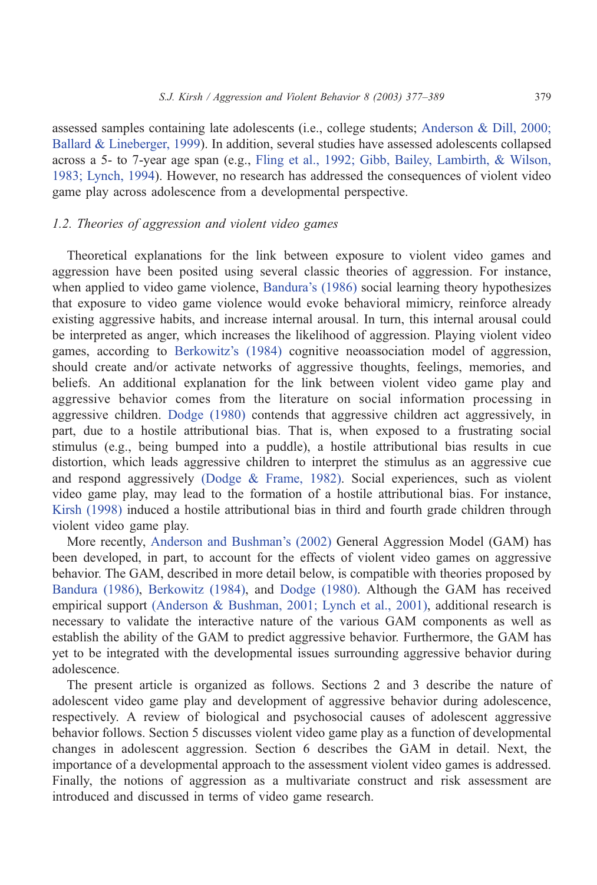assessed samples containing late adolescents (i.e., college students; [Anderson & Dill, 2000;](#page-11-0) Ballard & Lineberger, 1999). In addition, several studies have assessed adolescents collapsed across a 5- to 7-year age span (e.g., [Fling et al., 1992; Gibb, Bailey, Lambirth, & Wilson,](#page-11-0) 1983; Lynch, 1994). However, no research has addressed the consequences of violent video game play across adolescence from a developmental perspective.

#### 1.2. Theories of aggression and violent video games

Theoretical explanations for the link between exposure to violent video games and aggression have been posited using several classic theories of aggression. For instance, when applied to video game violence, [Bandura's \(1986\)](#page-11-0) social learning theory hypothesizes that exposure to video game violence would evoke behavioral mimicry, reinforce already existing aggressive habits, and increase internal arousal. In turn, this internal arousal could be interpreted as anger, which increases the likelihood of aggression. Playing violent video games, according to [Berkowitz's \(1984\)](#page-11-0) cognitive neoassociation model of aggression, should create and/or activate networks of aggressive thoughts, feelings, memories, and beliefs. An additional explanation for the link between violent video game play and aggressive behavior comes from the literature on social information processing in aggressive children. [Dodge \(1980\)](#page-11-0) contends that aggressive children act aggressively, in part, due to a hostile attributional bias. That is, when exposed to a frustrating social stimulus (e.g., being bumped into a puddle), a hostile attributional bias results in cue distortion, which leads aggressive children to interpret the stimulus as an aggressive cue and respond aggressively [\(Dodge & Frame, 1982\).](#page-11-0) Social experiences, such as violent video game play, may lead to the formation of a hostile attributional bias. For instance, [Kirsh \(1998\)](#page-12-0) induced a hostile attributional bias in third and fourth grade children through violent video game play.

More recently, [Anderson and Bushman's \(2002\)](#page-11-0) General Aggression Model (GAM) has been developed, in part, to account for the effects of violent video games on aggressive behavior. The GAM, described in more detail below, is compatible with theories proposed by [Bandura \(1986\),](#page-11-0) [Berkowitz \(1984\),](#page-11-0) and [Dodge \(1980\).](#page-11-0) Although the GAM has received empirical support [\(Anderson & Bushman, 2001; Lynch et al., 2001\),](#page-10-0) additional research is necessary to validate the interactive nature of the various GAM components as well as establish the ability of the GAM to predict aggressive behavior. Furthermore, the GAM has yet to be integrated with the developmental issues surrounding aggressive behavior during adolescence.

The present article is organized as follows. Sections 2 and 3 describe the nature of adolescent video game play and development of aggressive behavior during adolescence, respectively. A review of biological and psychosocial causes of adolescent aggressive behavior follows. Section 5 discusses violent video game play as a function of developmental changes in adolescent aggression. Section 6 describes the GAM in detail. Next, the importance of a developmental approach to the assessment violent video games is addressed. Finally, the notions of aggression as a multivariate construct and risk assessment are introduced and discussed in terms of video game research.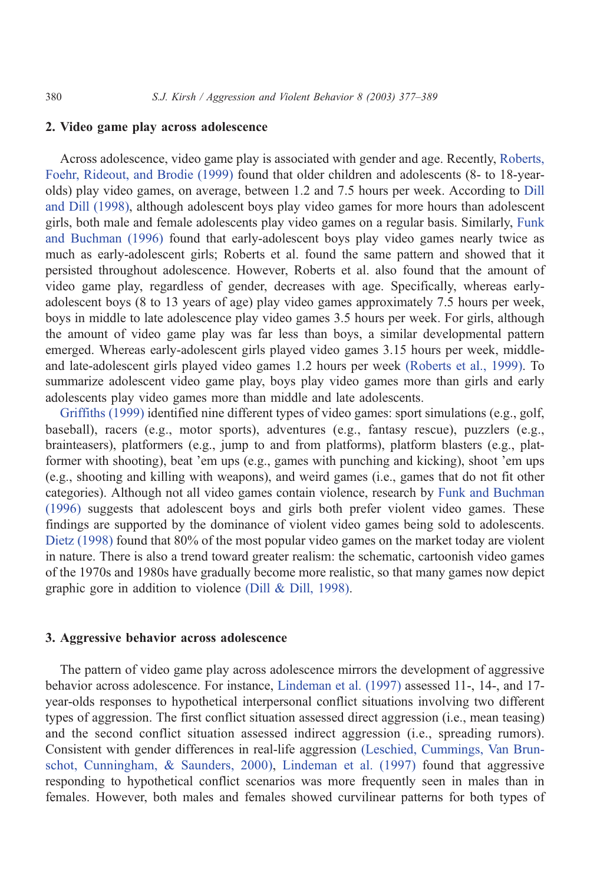#### 2. Video game play across adolescence

Across adolescence, video game play is associated with gender and age. Recently, [Roberts,](#page-12-0) Foehr, Rideout, and Brodie (1999) found that older children and adolescents (8- to 18-yearolds) play video games, on average, between 1.2 and 7.5 hours per week. According to [Dill](#page-11-0) and Dill (1998), although adolescent boys play video games for more hours than adolescent girls, both male and female adolescents play video games on a regular basis. Similarly, [Funk](#page-11-0) and Buchman (1996) found that early-adolescent boys play video games nearly twice as much as early-adolescent girls; Roberts et al. found the same pattern and showed that it persisted throughout adolescence. However, Roberts et al. also found that the amount of video game play, regardless of gender, decreases with age. Specifically, whereas earlyadolescent boys (8 to 13 years of age) play video games approximately 7.5 hours per week, boys in middle to late adolescence play video games 3.5 hours per week. For girls, although the amount of video game play was far less than boys, a similar developmental pattern emerged. Whereas early-adolescent girls played video games 3.15 hours per week, middleand late-adolescent girls played video games 1.2 hours per week [\(Roberts et al., 1999\).](#page-12-0) To summarize adolescent video game play, boys play video games more than girls and early adolescents play video games more than middle and late adolescents.

[Griffiths \(1999\)](#page-11-0) identified nine different types of video games: sport simulations (e.g., golf, baseball), racers (e.g., motor sports), adventures (e.g., fantasy rescue), puzzlers (e.g., brainteasers), platformers (e.g., jump to and from platforms), platform blasters (e.g., platformer with shooting), beat 'em ups (e.g., games with punching and kicking), shoot 'em ups (e.g., shooting and killing with weapons), and weird games (i.e., games that do not fit other categories). Although not all video games contain violence, research by [Funk and Buchman](#page-11-0) (1996) suggests that adolescent boys and girls both prefer violent video games. These findings are supported by the dominance of violent video games being sold to adolescents. [Dietz \(1998\)](#page-11-0) found that 80% of the most popular video games on the market today are violent in nature. There is also a trend toward greater realism: the schematic, cartoonish video games of the 1970s and 1980s have gradually become more realistic, so that many games now depict graphic gore in addition to violence [\(Dill & Dill, 1998\).](#page-11-0)

#### 3. Aggressive behavior across adolescence

The pattern of video game play across adolescence mirrors the development of aggressive behavior across adolescence. For instance, [Lindeman et al. \(1997\)](#page-12-0) assessed 11-, 14-, and 17 year-olds responses to hypothetical interpersonal conflict situations involving two different types of aggression. The first conflict situation assessed direct aggression (i.e., mean teasing) and the second conflict situation assessed indirect aggression (i.e., spreading rumors). Consistent with gender differences in real-life aggression [\(Leschied, Cummings, Van Brun](#page-12-0)schot, Cunningham, & Saunders, 2000), [Lindeman et al. \(1997\)](#page-12-0) found that aggressive responding to hypothetical conflict scenarios was more frequently seen in males than in females. However, both males and females showed curvilinear patterns for both types of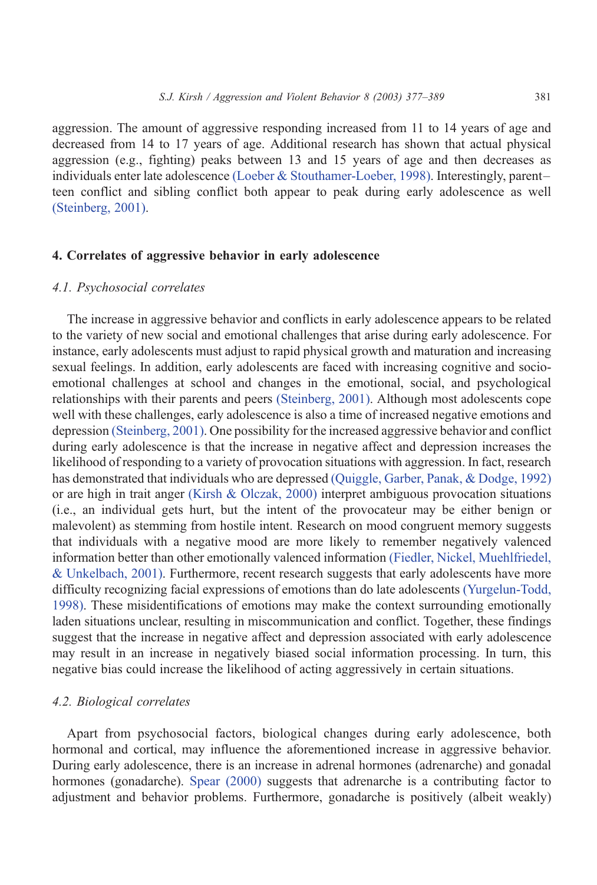aggression. The amount of aggressive responding increased from 11 to 14 years of age and decreased from 14 to 17 years of age. Additional research has shown that actual physical aggression (e.g., fighting) peaks between 13 and 15 years of age and then decreases as individuals enter late adolescence [\(Loeber & Stouthamer-Loeber, 1998\).](#page-12-0) Interestingly, parent– teen conflict and sibling conflict both appear to peak during early adolescence as well [\(Steinberg, 2001\).](#page-12-0)

## 4. Correlates of aggressive behavior in early adolescence

#### 4.1. Psychosocial correlates

The increase in aggressive behavior and conflicts in early adolescence appears to be related to the variety of new social and emotional challenges that arise during early adolescence. For instance, early adolescents must adjust to rapid physical growth and maturation and increasing sexual feelings. In addition, early adolescents are faced with increasing cognitive and socioemotional challenges at school and changes in the emotional, social, and psychological relationships with their parents and peers [\(Steinberg, 2001\).](#page-12-0) Although most adolescents cope well with these challenges, early adolescence is also a time of increased negative emotions and depression [\(Steinberg, 2001\).](#page-12-0) One possibility for the increased aggressive behavior and conflict during early adolescence is that the increase in negative affect and depression increases the likelihood of responding to a variety of provocation situations with aggression. In fact, research has demonstrated that individuals who are depressed [\(Quiggle, Garber, Panak, & Dodge, 1992\)](#page-12-0) or are high in trait anger [\(Kirsh & Olczak, 2000\)](#page-12-0) interpret ambiguous provocation situations (i.e., an individual gets hurt, but the intent of the provocateur may be either benign or malevolent) as stemming from hostile intent. Research on mood congruent memory suggests that individuals with a negative mood are more likely to remember negatively valenced information better than other emotionally valenced information [\(Fiedler, Nickel, Muehlfriedel,](#page-11-0) & Unkelbach, 2001). Furthermore, recent research suggests that early adolescents have more difficulty recognizing facial expressions of emotions than do late adolescents [\(Yurgelun-Todd,](#page-12-0) 1998). These misidentifications of emotions may make the context surrounding emotionally laden situations unclear, resulting in miscommunication and conflict. Together, these findings suggest that the increase in negative affect and depression associated with early adolescence may result in an increase in negatively biased social information processing. In turn, this negative bias could increase the likelihood of acting aggressively in certain situations.

#### 4.2. Biological correlates

Apart from psychosocial factors, biological changes during early adolescence, both hormonal and cortical, may influence the aforementioned increase in aggressive behavior. During early adolescence, there is an increase in adrenal hormones (adrenarche) and gonadal hormones (gonadarche). [Spear \(2000\)](#page-12-0) suggests that adrenarche is a contributing factor to adjustment and behavior problems. Furthermore, gonadarche is positively (albeit weakly)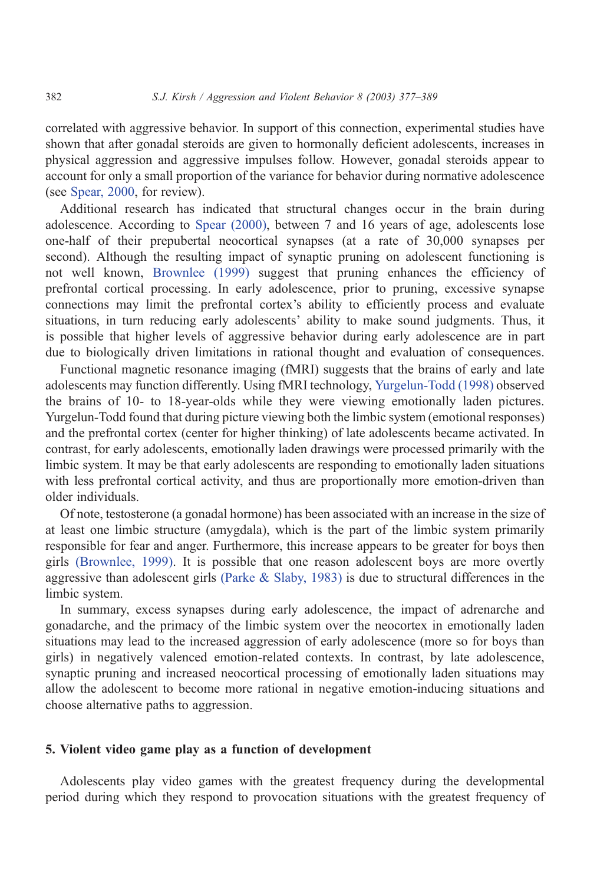correlated with aggressive behavior. In support of this connection, experimental studies have shown that after gonadal steroids are given to hormonally deficient adolescents, increases in physical aggression and aggressive impulses follow. However, gonadal steroids appear to account for only a small proportion of the variance for behavior during normative adolescence (see [Spear, 2000,](#page-12-0) for review).

Additional research has indicated that structural changes occur in the brain during adolescence. According to [Spear \(2000\),](#page-12-0) between 7 and 16 years of age, adolescents lose one-half of their prepubertal neocortical synapses (at a rate of 30,000 synapses per second). Although the resulting impact of synaptic pruning on adolescent functioning is not well known, [Brownlee \(1999\)](#page-11-0) suggest that pruning enhances the efficiency of prefrontal cortical processing. In early adolescence, prior to pruning, excessive synapse connections may limit the prefrontal cortex's ability to efficiently process and evaluate situations, in turn reducing early adolescents' ability to make sound judgments. Thus, it is possible that higher levels of aggressive behavior during early adolescence are in part due to biologically driven limitations in rational thought and evaluation of consequences.

Functional magnetic resonance imaging (fMRI) suggests that the brains of early and late adolescents may function differently. Using fMRI technology, [Yurgelun-Todd \(1998\)](#page-12-0) observed the brains of 10- to 18-year-olds while they were viewing emotionally laden pictures. Yurgelun-Todd found that during picture viewing both the limbic system (emotional responses) and the prefrontal cortex (center for higher thinking) of late adolescents became activated. In contrast, for early adolescents, emotionally laden drawings were processed primarily with the limbic system. It may be that early adolescents are responding to emotionally laden situations with less prefrontal cortical activity, and thus are proportionally more emotion-driven than older individuals.

Of note, testosterone (a gonadal hormone) has been associated with an increase in the size of at least one limbic structure (amygdala), which is the part of the limbic system primarily responsible for fear and anger. Furthermore, this increase appears to be greater for boys then girls [\(Brownlee, 1999\).](#page-11-0) It is possible that one reason adolescent boys are more overtly aggressive than adolescent girls [\(Parke & Slaby, 1983\)](#page-12-0) is due to structural differences in the limbic system.

In summary, excess synapses during early adolescence, the impact of adrenarche and gonadarche, and the primacy of the limbic system over the neocortex in emotionally laden situations may lead to the increased aggression of early adolescence (more so for boys than girls) in negatively valenced emotion-related contexts. In contrast, by late adolescence, synaptic pruning and increased neocortical processing of emotionally laden situations may allow the adolescent to become more rational in negative emotion-inducing situations and choose alternative paths to aggression.

#### 5. Violent video game play as a function of development

Adolescents play video games with the greatest frequency during the developmental period during which they respond to provocation situations with the greatest frequency of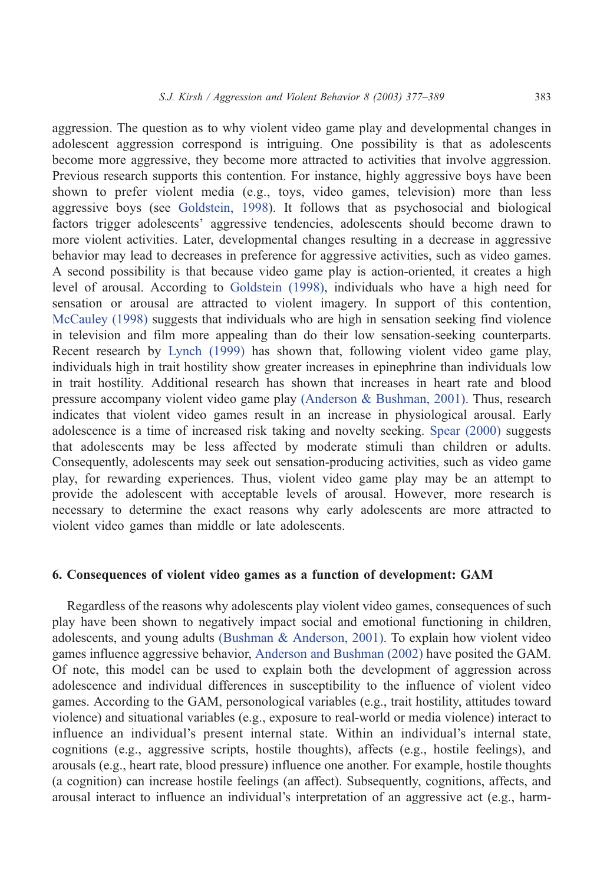aggression. The question as to why violent video game play and developmental changes in adolescent aggression correspond is intriguing. One possibility is that as adolescents become more aggressive, they become more attracted to activities that involve aggression. Previous research supports this contention. For instance, highly aggressive boys have been shown to prefer violent media (e.g., toys, video games, television) more than less aggressive boys (see [Goldstein, 1998\)](#page-11-0). It follows that as psychosocial and biological factors trigger adolescents' aggressive tendencies, adolescents should become drawn to more violent activities. Later, developmental changes resulting in a decrease in aggressive behavior may lead to decreases in preference for aggressive activities, such as video games. A second possibility is that because video game play is action-oriented, it creates a high level of arousal. According to [Goldstein \(1998\),](#page-11-0) individuals who have a high need for sensation or arousal are attracted to violent imagery. In support of this contention, [McCauley \(1998\)](#page-12-0) suggests that individuals who are high in sensation seeking find violence in television and film more appealing than do their low sensation-seeking counterparts. Recent research by [Lynch \(1999\)](#page-12-0) has shown that, following violent video game play, individuals high in trait hostility show greater increases in epinephrine than individuals low in trait hostility. Additional research has shown that increases in heart rate and blood pressure accompany violent video game play [\(Anderson & Bushman, 2001\).](#page-10-0) Thus, research indicates that violent video games result in an increase in physiological arousal. Early adolescence is a time of increased risk taking and novelty seeking. [Spear \(2000\)](#page-12-0) suggests that adolescents may be less affected by moderate stimuli than children or adults. Consequently, adolescents may seek out sensation-producing activities, such as video game play, for rewarding experiences. Thus, violent video game play may be an attempt to provide the adolescent with acceptable levels of arousal. However, more research is necessary to determine the exact reasons why early adolescents are more attracted to violent video games than middle or late adolescents.

#### 6. Consequences of violent video games as a function of development: GAM

Regardless of the reasons why adolescents play violent video games, consequences of such play have been shown to negatively impact social and emotional functioning in children, adolescents, and young adults [\(Bushman & Anderson, 2001\).](#page-11-0) To explain how violent video games influence aggressive behavior, [Anderson and Bushman \(2002\)](#page-11-0) have posited the GAM. Of note, this model can be used to explain both the development of aggression across adolescence and individual differences in susceptibility to the influence of violent video games. According to the GAM, personological variables (e.g., trait hostility, attitudes toward violence) and situational variables (e.g., exposure to real-world or media violence) interact to influence an individual's present internal state. Within an individual's internal state, cognitions (e.g., aggressive scripts, hostile thoughts), affects (e.g., hostile feelings), and arousals (e.g., heart rate, blood pressure) influence one another. For example, hostile thoughts (a cognition) can increase hostile feelings (an affect). Subsequently, cognitions, affects, and arousal interact to influence an individual's interpretation of an aggressive act (e.g., harm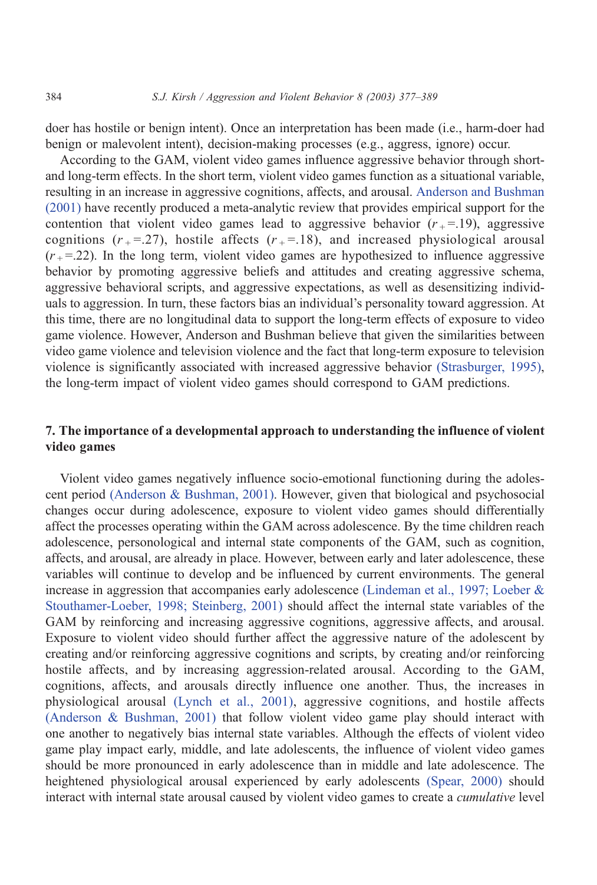doer has hostile or benign intent). Once an interpretation has been made (i.e., harm-doer had benign or malevolent intent), decision-making processes (e.g., aggress, ignore) occur.

According to the GAM, violent video games influence aggressive behavior through shortand long-term effects. In the short term, violent video games function as a situational variable, resulting in an increase in aggressive cognitions, affects, and arousal. [Anderson and Bushman](#page-10-0) (2001) have recently produced a meta-analytic review that provides empirical support for the contention that violent video games lead to aggressive behavior  $(r_{+}=19)$ , aggressive cognitions  $(r_{+}=27)$ , hostile affects  $(r_{+}=18)$ , and increased physiological arousal  $(r_{+} = .22)$ . In the long term, violent video games are hypothesized to influence aggressive behavior by promoting aggressive beliefs and attitudes and creating aggressive schema, aggressive behavioral scripts, and aggressive expectations, as well as desensitizing individuals to aggression. In turn, these factors bias an individual's personality toward aggression. At this time, there are no longitudinal data to support the long-term effects of exposure to video game violence. However, Anderson and Bushman believe that given the similarities between video game violence and television violence and the fact that long-term exposure to television violence is significantly associated with increased aggressive behavior [\(Strasburger, 1995\),](#page-12-0) the long-term impact of violent video games should correspond to GAM predictions.

# 7. The importance of a developmental approach to understanding the influence of violent video games

Violent video games negatively influence socio-emotional functioning during the adolescent period [\(Anderson & Bushman, 2001\).](#page-10-0) However, given that biological and psychosocial changes occur during adolescence, exposure to violent video games should differentially affect the processes operating within the GAM across adolescence. By the time children reach adolescence, personological and internal state components of the GAM, such as cognition, affects, and arousal, are already in place. However, between early and later adolescence, these variables will continue to develop and be influenced by current environments. The general increase in aggression that accompanies early adolescence [\(Lindeman et al., 1997; Loeber &](#page-12-0) Stouthamer-Loeber, 1998; Steinberg, 2001) should affect the internal state variables of the GAM by reinforcing and increasing aggressive cognitions, aggressive affects, and arousal. Exposure to violent video should further affect the aggressive nature of the adolescent by creating and/or reinforcing aggressive cognitions and scripts, by creating and/or reinforcing hostile affects, and by increasing aggression-related arousal. According to the GAM, cognitions, affects, and arousals directly influence one another. Thus, the increases in physiological arousal [\(Lynch et al., 2001\),](#page-12-0) aggressive cognitions, and hostile affects [\(Anderson & Bushman, 2001\)](#page-10-0) that follow violent video game play should interact with one another to negatively bias internal state variables. Although the effects of violent video game play impact early, middle, and late adolescents, the influence of violent video games should be more pronounced in early adolescence than in middle and late adolescence. The heightened physiological arousal experienced by early adolescents [\(Spear, 2000\)](#page-12-0) should interact with internal state arousal caused by violent video games to create a cumulative level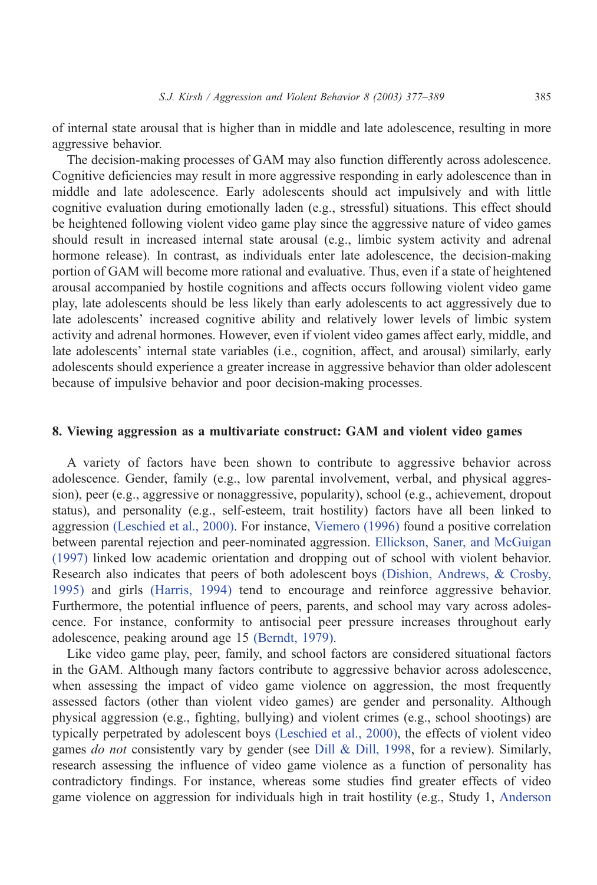of internal state arousal that is higher than in middle and late adolescence, resulting in more aggressive behavior.

The decision-making processes of GAM may also function differently across adolescence. Cognitive deficiencies may result in more aggressive responding in early adolescence than in middle and late adolescence. Early adolescents should act impulsively and with little cognitive evaluation during emotionally laden (e.g., stressful) situations. This effect should be heightened following violent video game play since the aggressive nature of video games should result in increased internal state arousal (e.g., limbic system activity and adrenal hormone release). In contrast, as individuals enter late adolescence, the decision-making portion of GAM will become more rational and evaluative. Thus, even if a state of heightened arousal accompanied by hostile cognitions and affects occurs following violent video game play, late adolescents should be less likely than early adolescents to act aggressively due to late adolescents' increased cognitive ability and relatively lower levels of limbic system activity and adrenal hormones. However, even if violent video games affect early, middle, and late adolescents' internal state variables (i.e., cognition, affect, and arousal) similarly, early adolescents should experience a greater increase in aggressive behavior than older adolescent because of impulsive behavior and poor decision-making processes.

# 8. Viewing aggression as a multivariate construct: GAM and violent video games

A variety of factors have been shown to contribute to aggressive behavior across adolescence. Gender, family (e.g., low parental involvement, verbal, and physical aggression), peer (e.g., aggressive or nonaggressive, popularity), school (e.g., achievement, dropout status), and personality (e.g., self-esteem, trait hostility) factors have all been linked to aggression [\(Leschied et al., 2000\).](#page-12-0) For instance, [Viemero \(1996\)](#page-12-0) found a positive correlation between parental rejection and peer-nominated aggression. [Ellickson, Saner, and McGuigan](#page-11-0) (1997) linked low academic orientation and dropping out of school with violent behavior. Research also indicates that peers of both adolescent boys [\(Dishion, Andrews, & Crosby,](#page-11-0) 1995) and girls [\(Harris, 1994\)](#page-12-0) tend to encourage and reinforce aggressive behavior. Furthermore, the potential influence of peers, parents, and school may vary across adolescence. For instance, conformity to antisocial peer pressure increases throughout early adolescence, peaking around age 15 [\(Berndt, 1979\).](#page-11-0)

Like video game play, peer, family, and school factors are considered situational factors in the GAM. Although many factors contribute to aggressive behavior across adolescence, when assessing the impact of video game violence on aggression, the most frequently assessed factors (other than violent video games) are gender and personality. Although physical aggression (e.g., fighting, bullying) and violent crimes (e.g., school shootings) are typically perpetrated by adolescent boys [\(Leschied et al., 2000\),](#page-12-0) the effects of violent video games do not consistently vary by gender (see [Dill & Dill, 1998,](#page-11-0) for a review). Similarly, research assessing the influence of video game violence as a function of personality has contradictory findings. For instance, whereas some studies find greater effects of video game violence on aggression for individuals high in trait hostility (e.g., Study 1, [Anderson](#page-11-0)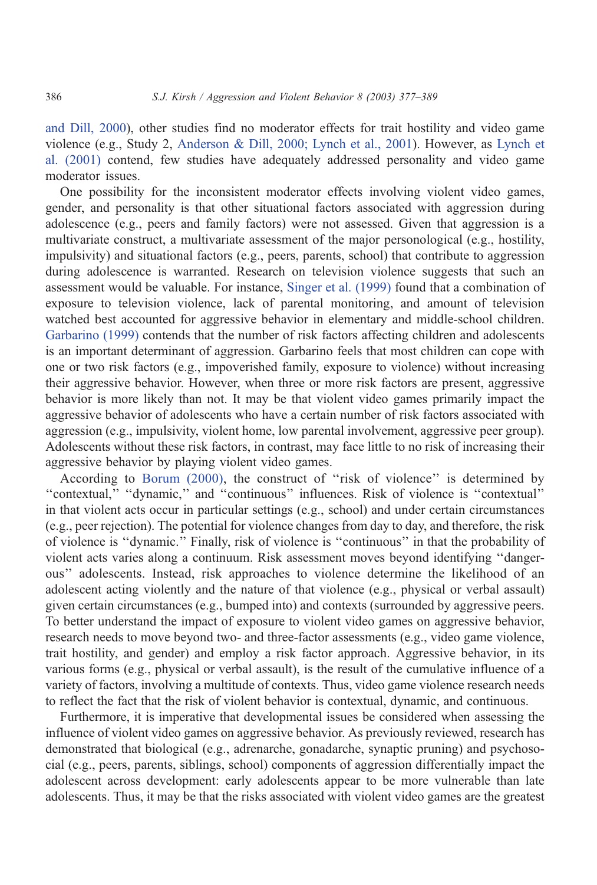and Dill, 2000), other studies find no moderator effects for trait hostility and video game violence (e.g., Study 2, [Anderson & Dill, 2000; Lynch et al., 2001\)](#page-11-0). However, as [Lynch et](#page-12-0) al. (2001) contend, few studies have adequately addressed personality and video game moderator issues.

One possibility for the inconsistent moderator effects involving violent video games, gender, and personality is that other situational factors associated with aggression during adolescence (e.g., peers and family factors) were not assessed. Given that aggression is a multivariate construct, a multivariate assessment of the major personological (e.g., hostility, impulsivity) and situational factors (e.g., peers, parents, school) that contribute to aggression during adolescence is warranted. Research on television violence suggests that such an assessment would be valuable. For instance, [Singer et al. \(1999\)](#page-12-0) found that a combination of exposure to television violence, lack of parental monitoring, and amount of television watched best accounted for aggressive behavior in elementary and middle-school children. [Garbarino \(1999\)](#page-11-0) contends that the number of risk factors affecting children and adolescents is an important determinant of aggression. Garbarino feels that most children can cope with one or two risk factors (e.g., impoverished family, exposure to violence) without increasing their aggressive behavior. However, when three or more risk factors are present, aggressive behavior is more likely than not. It may be that violent video games primarily impact the aggressive behavior of adolescents who have a certain number of risk factors associated with aggression (e.g., impulsivity, violent home, low parental involvement, aggressive peer group). Adolescents without these risk factors, in contrast, may face little to no risk of increasing their aggressive behavior by playing violent video games.

According to [Borum \(2000\),](#page-11-0) the construct of ''risk of violence'' is determined by ''contextual,'' ''dynamic,'' and ''continuous'' influences. Risk of violence is ''contextual'' in that violent acts occur in particular settings (e.g., school) and under certain circumstances (e.g., peer rejection). The potential for violence changes from day to day, and therefore, the risk of violence is ''dynamic.'' Finally, risk of violence is ''continuous'' in that the probability of violent acts varies along a continuum. Risk assessment moves beyond identifying ''dangerous'' adolescents. Instead, risk approaches to violence determine the likelihood of an adolescent acting violently and the nature of that violence (e.g., physical or verbal assault) given certain circumstances (e.g., bumped into) and contexts (surrounded by aggressive peers. To better understand the impact of exposure to violent video games on aggressive behavior, research needs to move beyond two- and three-factor assessments (e.g., video game violence, trait hostility, and gender) and employ a risk factor approach. Aggressive behavior, in its various forms (e.g., physical or verbal assault), is the result of the cumulative influence of a variety of factors, involving a multitude of contexts. Thus, video game violence research needs to reflect the fact that the risk of violent behavior is contextual, dynamic, and continuous.

Furthermore, it is imperative that developmental issues be considered when assessing the influence of violent video games on aggressive behavior. As previously reviewed, research has demonstrated that biological (e.g., adrenarche, gonadarche, synaptic pruning) and psychosocial (e.g., peers, parents, siblings, school) components of aggression differentially impact the adolescent across development: early adolescents appear to be more vulnerable than late adolescents. Thus, it may be that the risks associated with violent video games are the greatest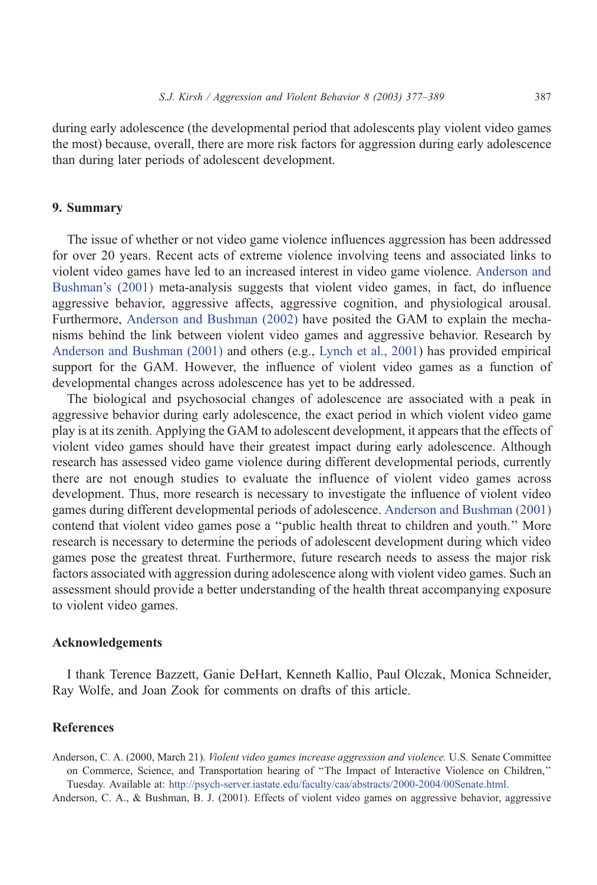<span id="page-10-0"></span>during early adolescence (the developmental period that adolescents play violent video games the most) because, overall, there are more risk factors for aggression during early adolescence than during later periods of adolescent development.

## 9. Summary

The issue of whether or not video game violence influences aggression has been addressed for over 20 years. Recent acts of extreme violence involving teens and associated links to violent video games have led to an increased interest in video game violence. Anderson and Bushman's (2001) meta-analysis suggests that violent video games, in fact, do influence aggressive behavior, aggressive affects, aggressive cognition, and physiological arousal. Furthermore, [Anderson and Bushman \(2002\)](#page-11-0) have posited the GAM to explain the mechanisms behind the link between violent video games and aggressive behavior. Research by Anderson and Bushman (2001) and others (e.g., [Lynch et al., 2001\)](#page-12-0) has provided empirical support for the GAM. However, the influence of violent video games as a function of developmental changes across adolescence has yet to be addressed.

The biological and psychosocial changes of adolescence are associated with a peak in aggressive behavior during early adolescence, the exact period in which violent video game play is at its zenith. Applying the GAM to adolescent development, it appears that the effects of violent video games should have their greatest impact during early adolescence. Although research has assessed video game violence during different developmental periods, currently there are not enough studies to evaluate the influence of violent video games across development. Thus, more research is necessary to investigate the influence of violent video games during different developmental periods of adolescence. Anderson and Bushman (2001) contend that violent video games pose a ''public health threat to children and youth.'' More research is necessary to determine the periods of adolescent development during which video games pose the greatest threat. Furthermore, future research needs to assess the major risk factors associated with aggression during adolescence along with violent video games. Such an assessment should provide a better understanding of the health threat accompanying exposure to violent video games.

#### Acknowledgements

I thank Terence Bazzett, Ganie DeHart, Kenneth Kallio, Paul Olczak, Monica Schneider, Ray Wolfe, and Joan Zook for comments on drafts of this article.

#### References

Anderson, C. A. (2000, March 21). Violent video games increase aggression and violence. U.S. Senate Committee on Commerce, Science, and Transportation hearing of ''The Impact of Interactive Violence on Children,'' Tuesday. Available at: [http://psych-server.iastate.edu/faculty/caa/abstracts/2000-2004/00Senate.html.]( http:\\psych-server.iastate.edu\faculty\caa\abstracts\2000-2004\00Senate.html )

Anderson, C. A., & Bushman, B. J. (2001). Effects of violent video games on aggressive behavior, aggressive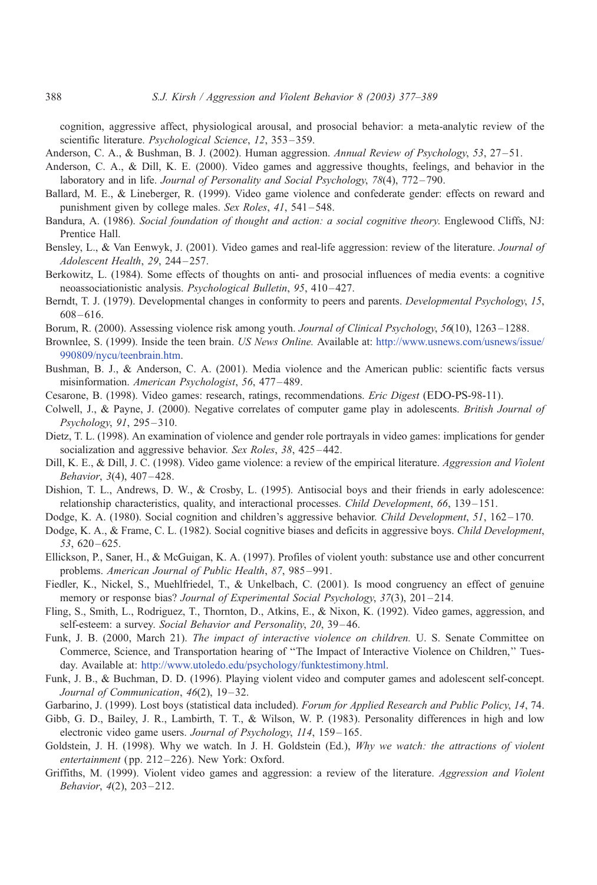<span id="page-11-0"></span>cognition, aggressive affect, physiological arousal, and prosocial behavior: a meta-analytic review of the scientific literature. Psychological Science, 12, 353-359.

Anderson, C. A., & Bushman, B. J. (2002). Human aggression. Annual Review of Psychology, 53, 27–51.

Anderson, C. A., & Dill, K. E. (2000). Video games and aggressive thoughts, feelings, and behavior in the laboratory and in life. Journal of Personality and Social Psychology, 78(4), 772–790.

- Ballard, M. E., & Lineberger, R. (1999). Video game violence and confederate gender: effects on reward and punishment given by college males. Sex Roles, 41, 541-548.
- Bandura, A. (1986). Social foundation of thought and action: a social cognitive theory. Englewood Cliffs, NJ: Prentice Hall.
- Bensley, L., & Van Eenwyk, J. (2001). Video games and real-life aggression: review of the literature. *Journal of* Adolescent Health, 29, 244-257.
- Berkowitz, L. (1984). Some effects of thoughts on anti- and prosocial influences of media events: a cognitive neoassociationistic analysis. Psychological Bulletin, 95, 410-427.
- Berndt, T. J. (1979). Developmental changes in conformity to peers and parents. Developmental Psychology, 15, 608 – 616.
- Borum, R. (2000). Assessing violence risk among youth. Journal of Clinical Psychology, 56(10), 1263–1288.
- Brownlee, S. (1999). Inside the teen brain. US News Online. Available at: [http://www.usnews.com/usnews/issue/]( http:\\www.usnews.com\usnews\issue\990809\nycu\teenbrain.htm ) 990809/nycu/teenbrain.htm.
- Bushman, B. J., & Anderson, C. A. (2001). Media violence and the American public: scientific facts versus misinformation. American Psychologist, 56, 477 – 489.
- Cesarone, B. (1998). Video games: research, ratings, recommendations. Eric Digest (EDO-PS-98-11).
- Colwell, J., & Payne, J. (2000). Negative correlates of computer game play in adolescents. British Journal of Psychology, 91, 295 – 310.
- Dietz, T. L. (1998). An examination of violence and gender role portrayals in video games: implications for gender socialization and aggressive behavior. Sex Roles, 38, 425–442.
- Dill, K. E., & Dill, J. C. (1998). Video game violence: a review of the empirical literature. Aggression and Violent Behavior, 3(4), 407 – 428.
- Dishion, T. L., Andrews, D. W., & Crosby, L. (1995). Antisocial boys and their friends in early adolescence: relationship characteristics, quality, and interactional processes. Child Development, 66, 139-151.
- Dodge, K. A. (1980). Social cognition and children's aggressive behavior. Child Development, 51, 162-170.
- Dodge, K. A., & Frame, C. L. (1982). Social cognitive biases and deficits in aggressive boys. Child Development, 53, 620 – 625.
- Ellickson, P., Saner, H., & McGuigan, K. A. (1997). Profiles of violent youth: substance use and other concurrent problems. American Journal of Public Health, 87, 985-991.
- Fiedler, K., Nickel, S., Muehlfriedel, T., & Unkelbach, C. (2001). Is mood congruency an effect of genuine memory or response bias? Journal of Experimental Social Psychology, 37(3), 201–214.
- Fling, S., Smith, L., Rodriguez, T., Thornton, D., Atkins, E., & Nixon, K. (1992). Video games, aggression, and self-esteem: a survey. Social Behavior and Personality, 20, 39-46.
- Funk, J. B. (2000, March 21). The impact of interactive violence on children. U. S. Senate Committee on Commerce, Science, and Transportation hearing of ''The Impact of Interactive Violence on Children,'' Tuesday. Available at: [http://www.utoledo.edu/psychology/funktestimony.html.]( http:\\www.utoledo.edu\ psychology\funktestimony.html )
- Funk, J. B., & Buchman, D. D. (1996). Playing violent video and computer games and adolescent self-concept. Journal of Communication, 46(2), 19-32.
- Garbarino, J. (1999). Lost boys (statistical data included). Forum for Applied Research and Public Policy, 14, 74.
- Gibb, G. D., Bailey, J. R., Lambirth, T. T., & Wilson, W. P. (1983). Personality differences in high and low electronic video game users. Journal of Psychology, 114, 159-165.
- Goldstein, J. H. (1998). Why we watch. In J. H. Goldstein (Ed.), Why we watch: the attractions of violent entertainment (pp. 212-226). New York: Oxford.
- Griffiths, M. (1999). Violent video games and aggression: a review of the literature. Aggression and Violent Behavior, 4(2), 203 – 212.